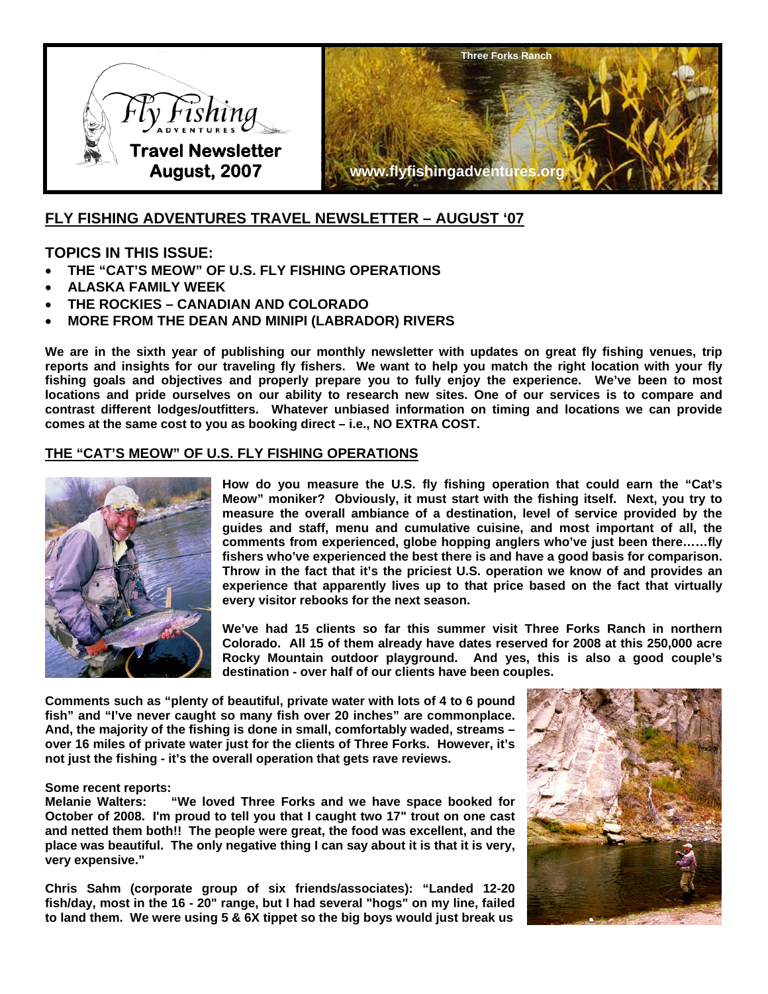

# **FLY FISHING ADVENTURES TRAVEL NEWSLETTER – AUGUST '07**

# **TOPICS IN THIS ISSUE:**

- **THE "CAT'S MEOW" OF U.S. FLY FISHING OPERATIONS**
- **ALASKA FAMILY WEEK**
- **THE ROCKIES CANADIAN AND COLORADO**
- **MORE FROM THE DEAN AND MINIPI (LABRADOR) RIVERS**

**We are in the sixth year of publishing our monthly newsletter with updates on great fly fishing venues, trip reports and insights for our traveling fly fishers. We want to help you match the right location with your fly fishing goals and objectives and properly prepare you to fully enjoy the experience. We've been to most locations and pride ourselves on our ability to research new sites. One of our services is to compare and contrast different lodges/outfitters. Whatever unbiased information on timing and locations we can provide comes at the same cost to you as booking direct – i.e., NO EXTRA COST.** 

## **THE "CAT'S MEOW" OF U.S. FLY FISHING OPERATIONS**



**How do you measure the U.S. fly fishing operation that could earn the "Cat's Meow" moniker? Obviously, it must start with the fishing itself. Next, you try to measure the overall ambiance of a destination, level of service provided by the guides and staff, menu and cumulative cuisine, and most important of all, the comments from experienced, globe hopping anglers who've just been there……fly fishers who've experienced the best there is and have a good basis for comparison. Throw in the fact that it's the priciest U.S. operation we know of and provides an experience that apparently lives up to that price based on the fact that virtually every visitor rebooks for the next season.** 

**We've had 15 clients so far this summer visit Three Forks Ranch in northern Colorado. All 15 of them already have dates reserved for 2008 at this 250,000 acre Rocky Mountain outdoor playground. And yes, this is also a good couple's destination - over half of our clients have been couples.** 

**Comments such as "plenty of beautiful, private water with lots of 4 to 6 pound fish" and "I've never caught so many fish over 20 inches" are commonplace. And, the majority of the fishing is done in small, comfortably waded, streams – over 16 miles of private water just for the clients of Three Forks. However, it's not just the fishing - it's the overall operation that gets rave reviews.** 

## **Some recent reports:**

**Melanie Walters: "We loved Three Forks and we have space booked for October of 2008. I'm proud to tell you that I caught two 17" trout on one cast and netted them both!! The people were great, the food was excellent, and the place was beautiful. The only negative thing I can say about it is that it is very, very expensive."** 

**Chris Sahm (corporate group of six friends/associates): "Landed 12-20 fish/day, most in the 16 - 20" range, but I had several "hogs" on my line, failed to land them. We were using 5 & 6X tippet so the big boys would just break us** 

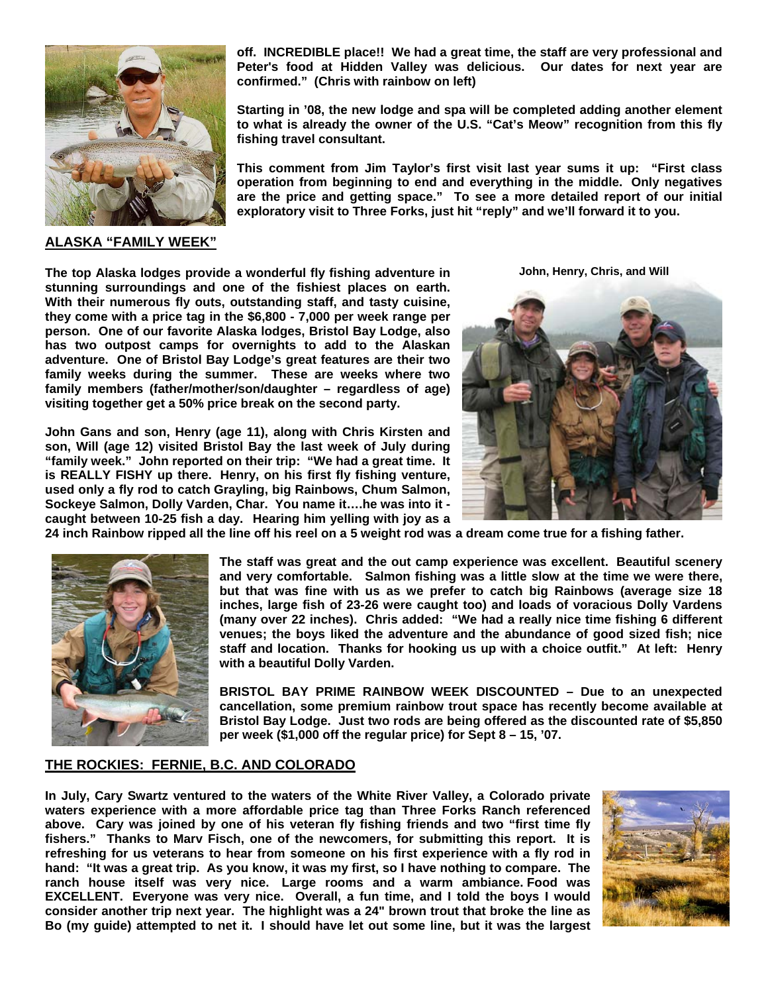

#### **ALASKA "FAMILY WEEK"**

**off. INCREDIBLE place!! We had a great time, the staff are very professional and Peter's food at Hidden Valley was delicious. Our dates for next year are confirmed." (Chris with rainbow on left)** 

**Starting in '08, the new lodge and spa will be completed adding another element to what is already the owner of the U.S. "Cat's Meow" recognition from this fly fishing travel consultant.** 

**This comment from Jim Taylor's first visit last year sums it up: "First class operation from beginning to end and everything in the middle. Only negatives are the price and getting space." To see a more detailed report of our initial exploratory visit to Three Forks, just hit "reply" and we'll forward it to you.** 

The top Alaska lodges provide a wonderful fly fishing adventure in **John, Henry, Chris, and Will stunning surroundings and one of the fishiest places on earth. With their numerous fly outs, outstanding staff, and tasty cuisine, they come with a price tag in the \$6,800 - 7,000 per week range per person. One of our favorite Alaska lodges, Bristol Bay Lodge, also has two outpost camps for overnights to add to the Alaskan adventure. One of Bristol Bay Lodge's great features are their two family weeks during the summer. These are weeks where two family members (father/mother/son/daughter – regardless of age) visiting together get a 50% price break on the second party.** 

**John Gans and son, Henry (age 11), along with Chris Kirsten and son, Will (age 12) visited Bristol Bay the last week of July during "family week." John reported on their trip: "We had a great time. It is REALLY FISHY up there. Henry, on his first fly fishing venture, used only a fly rod to catch Grayling, big Rainbows, Chum Salmon, Sockeye Salmon, Dolly Varden, Char. You name it….he was into it caught between 10-25 fish a day. Hearing him yelling with joy as a** 



**24 inch Rainbow ripped all the line off his reel on a 5 weight rod was a dream come true for a fishing father.** 



**The staff was great and the out camp experience was excellent. Beautiful scenery and very comfortable. Salmon fishing was a little slow at the time we were there, but that was fine with us as we prefer to catch big Rainbows (average size 18 inches, large fish of 23-26 were caught too) and loads of voracious Dolly Vardens (many over 22 inches). Chris added: "We had a really nice time fishing 6 different venues; the boys liked the adventure and the abundance of good sized fish; nice staff and location. Thanks for hooking us up with a choice outfit." At left: Henry with a beautiful Dolly Varden.** 

**BRISTOL BAY PRIME RAINBOW WEEK DISCOUNTED – Due to an unexpected cancellation, some premium rainbow trout space has recently become available at Bristol Bay Lodge. Just two rods are being offered as the discounted rate of \$5,850 per week (\$1,000 off the regular price) for Sept 8 – 15, '07.** 

# **THE ROCKIES: FERNIE, B.C. AND COLORADO**

**In July, Cary Swartz ventured to the waters of the White River Valley, a Colorado private waters experience with a more affordable price tag than Three Forks Ranch referenced above. Cary was joined by one of his veteran fly fishing friends and two "first time fly fishers." Thanks to Marv Fisch, one of the newcomers, for submitting this report. It is refreshing for us veterans to hear from someone on his first experience with a fly rod in hand: "It was a great trip. As you know, it was my first, so I have nothing to compare. The ranch house itself was very nice. Large rooms and a warm ambiance. Food was EXCELLENT. Everyone was very nice. Overall, a fun time, and I told the boys I would consider another trip next year. The highlight was a 24" brown trout that broke the line as Bo (my guide) attempted to net it. I should have let out some line, but it was the largest** 

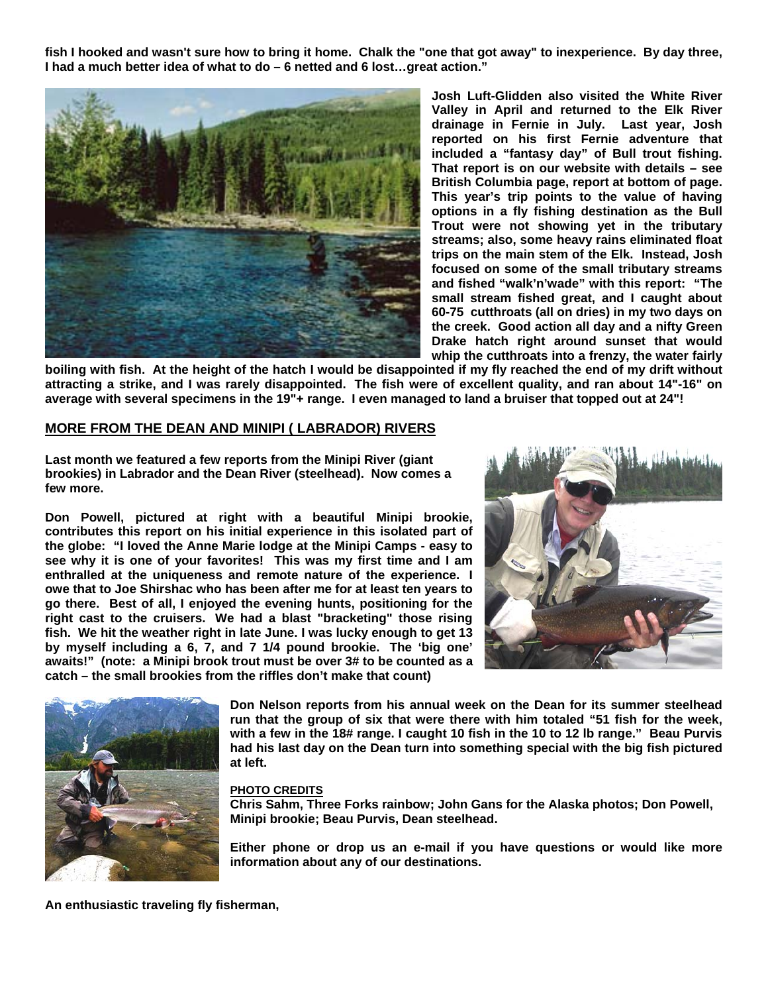**fish I hooked and wasn't sure how to bring it home. Chalk the "one that got away" to inexperience. By day three, I had a much better idea of what to do – 6 netted and 6 lost…great action."** 



**Josh Luft-Glidden also visited the White River Valley in April and returned to the Elk River drainage in Fernie in July. Last year, Josh reported on his first Fernie adventure that included a "fantasy day" of Bull trout fishing. That report is on our website with details – see British Columbia page, report at bottom of page. This year's trip points to the value of having options in a fly fishing destination as the Bull Trout were not showing yet in the tributary streams; also, some heavy rains eliminated float trips on the main stem of the Elk. Instead, Josh focused on some of the small tributary streams and fished "walk'n'wade" with this report: "The small stream fished great, and I caught about 60-75 cutthroats (all on dries) in my two days on the creek. Good action all day and a nifty Green Drake hatch right around sunset that would whip the cutthroats into a frenzy, the water fairly** 

**boiling with fish. At the height of the hatch I would be disappointed if my fly reached the end of my drift without attracting a strike, and I was rarely disappointed. The fish were of excellent quality, and ran about 14"-16" on average with several specimens in the 19"+ range. I even managed to land a bruiser that topped out at 24"!** 

### **MORE FROM THE DEAN AND MINIPI ( LABRADOR) RIVERS**

**Last month we featured a few reports from the Minipi River (giant brookies) in Labrador and the Dean River (steelhead). Now comes a few more.** 

**Don Powell, pictured at right with a beautiful Minipi brookie, contributes this report on his initial experience in this isolated part of the globe: "I loved the Anne Marie lodge at the Minipi Camps - easy to see why it is one of your favorites! This was my first time and I am enthralled at the uniqueness and remote nature of the experience. I owe that to Joe Shirshac who has been after me for at least ten years to go there. Best of all, I enjoyed the evening hunts, positioning for the right cast to the cruisers. We had a blast "bracketing" those rising fish. We hit the weather right in late June. I was lucky enough to get 13 by myself including a 6, 7, and 7 1/4 pound brookie. The 'big one' awaits!" (note: a Minipi brook trout must be over 3# to be counted as a catch – the small brookies from the riffles don't make that count)** 





**Don Nelson reports from his annual week on the Dean for its summer steelhead run that the group of six that were there with him totaled "51 fish for the week, with a few in the 18# range. I caught 10 fish in the 10 to 12 lb range." Beau Purvis had his last day on the Dean turn into something special with the big fish pictured at left.** 

#### **PHOTO CREDITS**

**Chris Sahm, Three Forks rainbow; John Gans for the Alaska photos; Don Powell, Minipi brookie; Beau Purvis, Dean steelhead.** 

**Either phone or drop us an e-mail if you have questions or would like more information about any of our destinations.** 

**An enthusiastic traveling fly fisherman,**